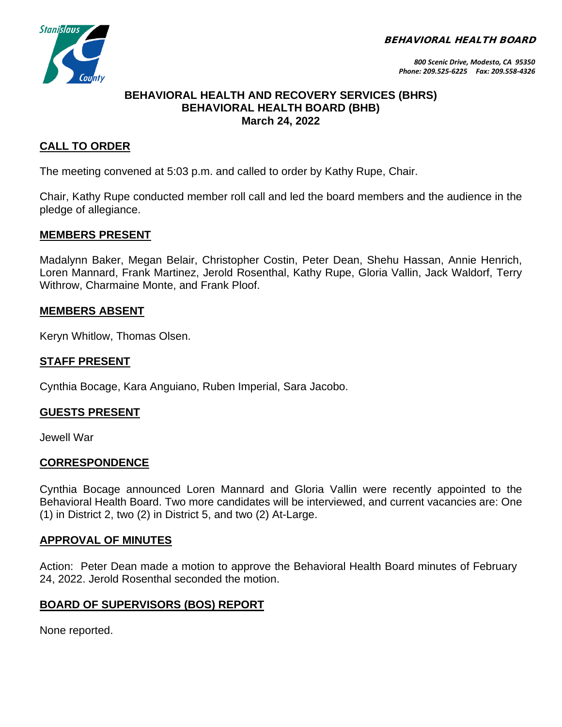BEHAVIORAL HEALTH BOARD



### **BEHAVIORAL HEALTH AND RECOVERY SERVICES (BHRS) BEHAVIORAL HEALTH BOARD (BHB) March 24, 2022**

# **CALL TO ORDER**

The meeting convened at 5:03 p.m. and called to order by Kathy Rupe, Chair.

Chair, Kathy Rupe conducted member roll call and led the board members and the audience in the pledge of allegiance.

#### **MEMBERS PRESENT**

Madalynn Baker, Megan Belair, Christopher Costin, Peter Dean, Shehu Hassan, Annie Henrich, Loren Mannard, Frank Martinez, Jerold Rosenthal, Kathy Rupe, Gloria Vallin, Jack Waldorf, Terry Withrow, Charmaine Monte, and Frank Ploof.

#### **MEMBERS ABSENT**

Keryn Whitlow, Thomas Olsen.

#### **STAFF PRESENT**

Cynthia Bocage, Kara Anguiano, Ruben Imperial, Sara Jacobo.

### **GUESTS PRESENT**

Jewell War

### **CORRESPONDENCE**

Cynthia Bocage announced Loren Mannard and Gloria Vallin were recently appointed to the Behavioral Health Board. Two more candidates will be interviewed, and current vacancies are: One (1) in District 2, two (2) in District 5, and two (2) At-Large.

### **APPROVAL OF MINUTES**

Action: Peter Dean made a motion to approve the Behavioral Health Board minutes of February 24, 2022. Jerold Rosenthal seconded the motion.

### **BOARD OF SUPERVISORS (BOS) REPORT**

None reported.